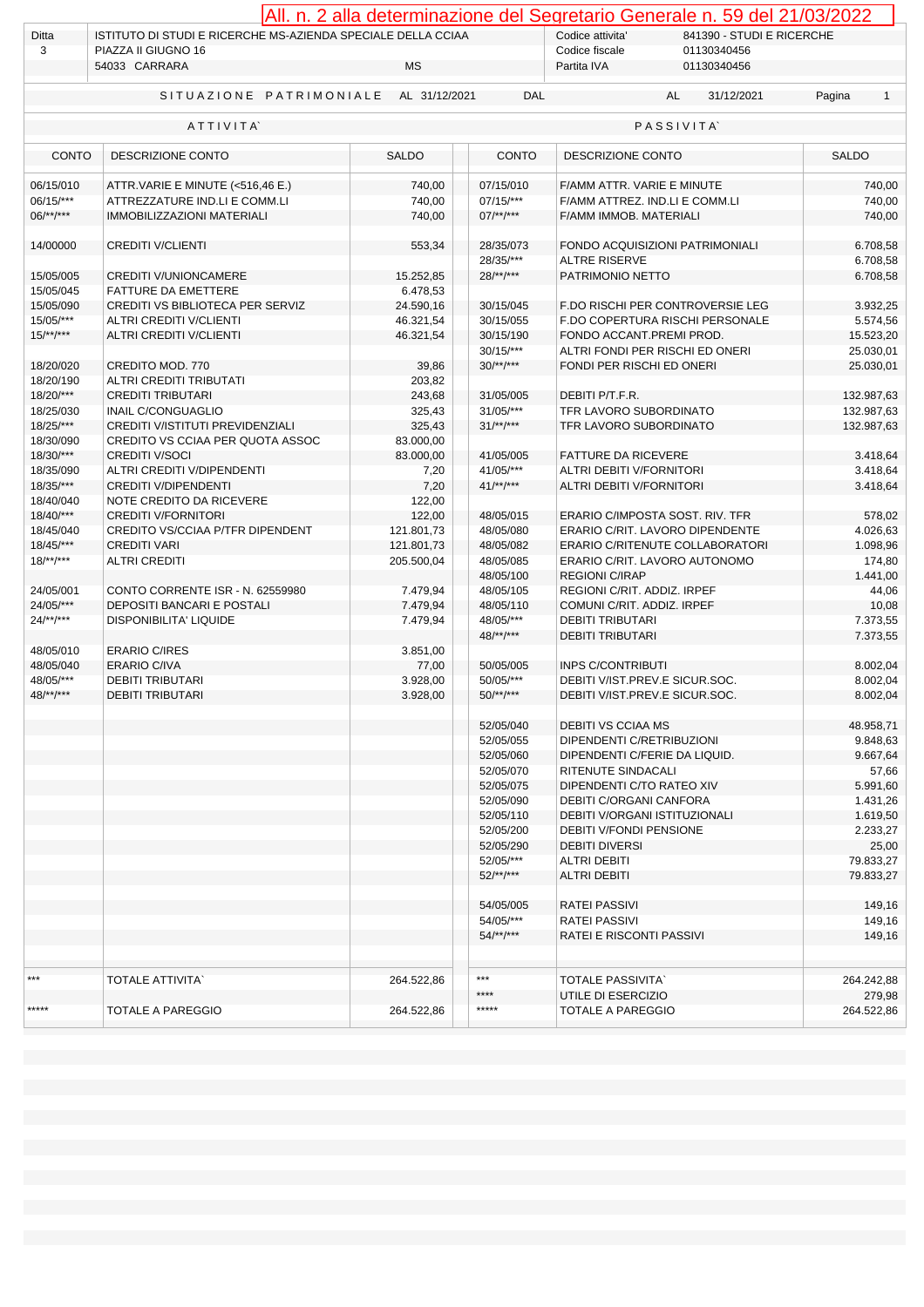|                              |                                                                   |                      |                                               | All. n. 2 alla determinazione del Segretario Generale n. 59 del 21/03/2022 |                      |  |  |
|------------------------------|-------------------------------------------------------------------|----------------------|-----------------------------------------------|----------------------------------------------------------------------------|----------------------|--|--|
| Ditta                        | ISTITUTO DI STUDI E RICERCHE MS-AZIENDA SPECIALE DELLA CCIAA      |                      | Codice attivita'<br>841390 - STUDI E RICERCHE |                                                                            |                      |  |  |
| 3                            | PIAZZA II GIUGNO 16                                               |                      |                                               | Codice fiscale<br>01130340456                                              |                      |  |  |
|                              | 54033 CARRARA                                                     | МS                   |                                               | 01130340456<br>Partita IVA                                                 |                      |  |  |
|                              | SITUAZIONE PATRIMONIALE                                           | AL 31/12/2021        | <b>DAL</b>                                    | AL<br>31/12/2021                                                           | Pagina<br>1          |  |  |
| ATTIVITA<br><b>PASSIVITA</b> |                                                                   |                      |                                               |                                                                            |                      |  |  |
| <b>CONTO</b>                 | DESCRIZIONE CONTO                                                 | <b>SALDO</b>         | <b>CONTO</b>                                  | DESCRIZIONE CONTO                                                          | <b>SALDO</b>         |  |  |
|                              |                                                                   |                      |                                               |                                                                            |                      |  |  |
| 06/15/010<br>06/15/***       | ATTR.VARIE E MINUTE (<516,46 E.)<br>ATTREZZATURE IND.LI E COMM.LI | 740,00<br>740,00     | 07/15/010<br>07/15/***                        | F/AMM ATTR. VARIE E MINUTE<br>F/AMM ATTREZ. IND.LI E COMM.LI               | 740,00<br>740,00     |  |  |
| $06$ /**/***                 | <b>IMMOBILIZZAZIONI MATERIALI</b>                                 | 740,00               | $07$ /**/***                                  | F/AMM IMMOB. MATERIALI                                                     | 740,00               |  |  |
|                              |                                                                   |                      |                                               |                                                                            |                      |  |  |
| 14/00000                     | <b>CREDITI V/CLIENTI</b>                                          | 553,34               | 28/35/073                                     | FONDO ACQUISIZIONI PATRIMONIALI                                            | 6.708,58             |  |  |
|                              |                                                                   |                      | 28/35/***                                     | <b>ALTRE RISERVE</b>                                                       | 6.708,58             |  |  |
| 15/05/005                    | <b>CREDITI V/UNIONCAMERE</b>                                      | 15.252,85            | $28$ /**/***                                  | PATRIMONIO NETTO                                                           | 6.708,58             |  |  |
| 15/05/045                    | FATTURE DA EMETTERE                                               | 6.478,53             |                                               |                                                                            |                      |  |  |
| 15/05/090                    | CREDITI VS BIBLIOTECA PER SERVIZ                                  | 24.590,16            | 30/15/045                                     | F.DO RISCHI PER CONTROVERSIE LEG                                           | 3.932,25             |  |  |
| 15/05/***                    | ALTRI CREDITI V/CLIENTI                                           | 46.321,54            | 30/15/055                                     | F.DO COPERTURA RISCHI PERSONALE                                            | 5.574,56             |  |  |
| $15/**/***$                  | <b>ALTRI CREDITI V/CLIENTI</b>                                    | 46.321,54            | 30/15/190                                     | FONDO ACCANT.PREMI PROD.                                                   | 15.523,20            |  |  |
|                              |                                                                   |                      | $30/15$ /***                                  | ALTRI FONDI PER RISCHI ED ONERI                                            | 25.030,01            |  |  |
| 18/20/020                    | CREDITO MOD. 770                                                  | 39,86                | $30/**/***$                                   | FONDI PER RISCHI ED ONERI                                                  | 25.030,01            |  |  |
| 18/20/190                    | ALTRI CREDITI TRIBUTATI                                           | 203,82               |                                               |                                                                            |                      |  |  |
| 18/20/***                    | <b>CREDITI TRIBUTARI</b>                                          | 243,68               | 31/05/005                                     | DEBITI P/T.F.R.                                                            | 132.987,63           |  |  |
| 18/25/030                    | <b>INAIL C/CONGUAGLIO</b>                                         | 325,43               | 31/05/***                                     | TFR LAVORO SUBORDINATO                                                     | 132.987,63           |  |  |
| $18/25$ /***                 | CREDITI V/ISTITUTI PREVIDENZIALI                                  | 325,43               | $31/**/***$                                   | <b>TFR LAVORO SUBORDINATO</b>                                              | 132.987,63           |  |  |
| 18/30/090                    | CREDITO VS CCIAA PER QUOTA ASSOC                                  | 83.000,00            |                                               |                                                                            |                      |  |  |
| 18/30/***                    | <b>CREDITI V/SOCI</b>                                             | 83.000,00            | 41/05/005                                     | <b>FATTURE DA RICEVERE</b>                                                 | 3.418,64             |  |  |
| 18/35/090                    | ALTRI CREDITI V/DIPENDENTI                                        | 7,20                 | 41/05/***                                     | ALTRI DEBITI V/FORNITORI                                                   | 3.418,64             |  |  |
| 18/35/***                    | <b>CREDITI V/DIPENDENTI</b>                                       | 7,20                 | $41^{***}$                                    | ALTRI DEBITI V/FORNITORI                                                   | 3.418,64             |  |  |
| 18/40/040                    | NOTE CREDITO DA RICEVERE                                          | 122,00               |                                               |                                                                            |                      |  |  |
| 18/40/***                    | <b>CREDITI V/FORNITORI</b>                                        | 122,00               | 48/05/015                                     | ERARIO C/IMPOSTA SOST. RIV. TFR                                            | 578,02               |  |  |
| 18/45/040                    | CREDITO VS/CCIAA P/TFR DIPENDENT                                  | 121.801,73           | 48/05/080                                     | ERARIO C/RIT. LAVORO DIPENDENTE                                            | 4.026,63             |  |  |
| 18/45/***                    | <b>CREDITI VARI</b>                                               | 121.801,73           | 48/05/082                                     | ERARIO C/RITENUTE COLLABORATORI                                            | 1.098,96             |  |  |
| $18$ /**/***                 | <b>ALTRI CREDITI</b>                                              | 205.500,04           | 48/05/085                                     | ERARIO C/RIT. LAVORO AUTONOMO                                              | 174,80               |  |  |
|                              |                                                                   |                      | 48/05/100                                     | <b>REGIONI C/IRAP</b>                                                      | 1.441,00             |  |  |
| 24/05/001                    | CONTO CORRENTE ISR - N. 62559980                                  | 7.479,94             | 48/05/105                                     | REGIONI C/RIT. ADDIZ. IRPEF                                                | 44,06                |  |  |
| 24/05/***                    | DEPOSITI BANCARI E POSTALI                                        | 7.479,94             | 48/05/110                                     | COMUNI C/RIT. ADDIZ. IRPEF                                                 | 10,08                |  |  |
| $24$ /**/***                 | DISPONIBILITA' LIQUIDE                                            | 7.479,94             | 48/05/***                                     | <b>DEBITI TRIBUTARI</b>                                                    | 7.373,55             |  |  |
|                              |                                                                   |                      | $48$ /**/***                                  | <b>DEBITI TRIBUTARI</b>                                                    | 7.373,55             |  |  |
| 48/05/010                    | <b>ERARIO C/IRES</b>                                              | 3.851,00             |                                               |                                                                            |                      |  |  |
| 48/05/040                    | <b>ERARIO C/IVA</b>                                               | 77,00                | 50/05/005                                     | <b>INPS C/CONTRIBUTI</b><br>DEBITI V/IST.PREV.E SICUR.SOC.                 | 8.002,04             |  |  |
| 48/05/***<br>48/**/***       | <b>DEBITI TRIBUTARI</b><br><b>DEBITI TRIBUTARI</b>                | 3.928,00<br>3.928,00 | 50/05/***<br>$50$ /**/***                     | DEBITI V/IST.PREV.E SICUR.SOC.                                             | 8.002,04<br>8.002,04 |  |  |
|                              |                                                                   |                      |                                               |                                                                            |                      |  |  |
|                              |                                                                   |                      | 52/05/040                                     | <b>DEBITI VS CCIAA MS</b>                                                  | 48.958,71            |  |  |
|                              |                                                                   |                      | 52/05/055                                     | DIPENDENTI C/RETRIBUZIONI                                                  | 9.848,63             |  |  |
|                              |                                                                   |                      | 52/05/060                                     | DIPENDENTI C/FERIE DA LIQUID.                                              | 9.667,64             |  |  |
|                              |                                                                   |                      | 52/05/070                                     | RITENUTE SINDACALI                                                         | 57,66                |  |  |
|                              |                                                                   |                      | 52/05/075                                     | DIPENDENTI C/TO RATEO XIV                                                  | 5.991,60             |  |  |
|                              |                                                                   |                      | 52/05/090                                     | DEBITI C/ORGANI CANFORA                                                    | 1.431,26             |  |  |
|                              |                                                                   |                      | 52/05/110                                     | <b>DEBITI V/ORGANI ISTITUZIONALI</b>                                       | 1.619,50             |  |  |
|                              |                                                                   |                      | 52/05/200                                     | DEBITI V/FONDI PENSIONE                                                    | 2.233,27             |  |  |
|                              |                                                                   |                      | 52/05/290                                     | <b>DEBITI DIVERSI</b>                                                      | 25,00                |  |  |
|                              |                                                                   |                      | 52/05/***                                     | <b>ALTRI DEBITI</b>                                                        | 79.833,27            |  |  |
|                              |                                                                   |                      | $52$ /**/***                                  | <b>ALTRI DEBITI</b>                                                        | 79.833,27            |  |  |
|                              |                                                                   |                      |                                               |                                                                            |                      |  |  |
|                              |                                                                   |                      | 54/05/005                                     | <b>RATEI PASSIVI</b>                                                       | 149,16               |  |  |
|                              |                                                                   |                      | 54/05/***                                     | RATEI PASSIVI                                                              | 149,16               |  |  |
|                              |                                                                   |                      | $54$ /**/***                                  | <b>RATELE RISCONTI PASSIVI</b>                                             | 149,16               |  |  |
|                              |                                                                   |                      |                                               |                                                                            |                      |  |  |
|                              |                                                                   |                      |                                               |                                                                            |                      |  |  |
| ***                          | <b>TOTALE ATTIVITA'</b>                                           | 264.522,86           | $***$                                         | <b>TOTALE PASSIVITA</b>                                                    | 264.242,88           |  |  |
|                              |                                                                   |                      | ****                                          | UTILE DI ESERCIZIO                                                         | 279,98               |  |  |
| *****                        | TOTALE A PAREGGIO                                                 | 264.522,86           | *****                                         | TOTALE A PAREGGIO                                                          | 264.522,86           |  |  |
|                              |                                                                   |                      |                                               |                                                                            |                      |  |  |